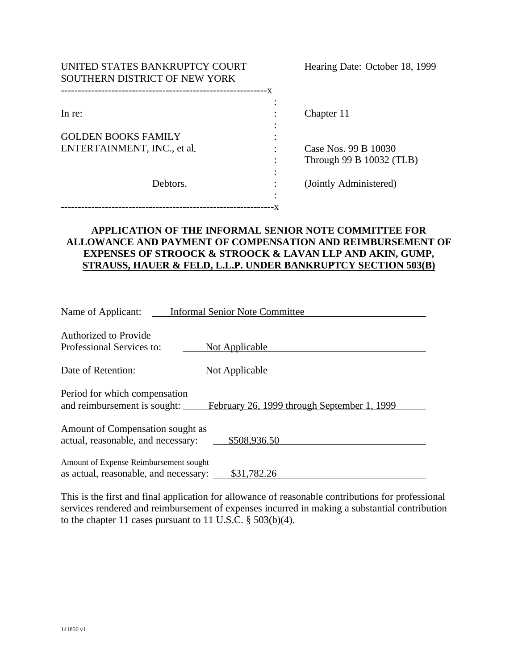| UNITED STATES BANKRUPTCY COURT<br>SOUTHERN DISTRICT OF NEW YORK |    | Hearing Date: October 18, 1999 |  |
|-----------------------------------------------------------------|----|--------------------------------|--|
| --------------------------                                      | -X |                                |  |
| In re:                                                          |    | Chapter 11                     |  |
| <b>GOLDEN BOOKS FAMILY</b><br>ENTERTAINMENT, INC., et al.       |    | Case Nos. 99 B 10030           |  |
|                                                                 |    | Through 99 B 10032 (TLB)       |  |
| Debtors.                                                        |    | (Jointly Administered)         |  |
|                                                                 |    |                                |  |

## **APPLICATION OF THE INFORMAL SENIOR NOTE COMMITTEE FOR ALLOWANCE AND PAYMENT OF COMPENSATION AND REIMBURSEMENT OF EXPENSES OF STROOCK & STROOCK & LAVAN LLP AND AKIN, GUMP, STRAUSS, HAUER & FELD, L.L.P. UNDER BANKRUPTCY SECTION 503(B)**

| Name of Applicant:<br><b>Informal Senior Note Committee</b>                                                  |  |  |  |
|--------------------------------------------------------------------------------------------------------------|--|--|--|
| <b>Authorized to Provide</b><br>Professional Services to:<br>Not Applicable                                  |  |  |  |
| Date of Retention:<br><b>Not Applicable</b>                                                                  |  |  |  |
| Period for which compensation<br>and reimbursement is sought:<br>February 26, 1999 through September 1, 1999 |  |  |  |
| Amount of Compensation sought as<br>\$508,936.50<br>actual, reasonable, and necessary:                       |  |  |  |
| Amount of Expense Reimbursement sought<br>as actual, reasonable, and necessary:<br>\$31,782.26               |  |  |  |

This is the first and final application for allowance of reasonable contributions for professional services rendered and reimbursement of expenses incurred in making a substantial contribution to the chapter 11 cases pursuant to 11 U.S.C. § 503(b)(4).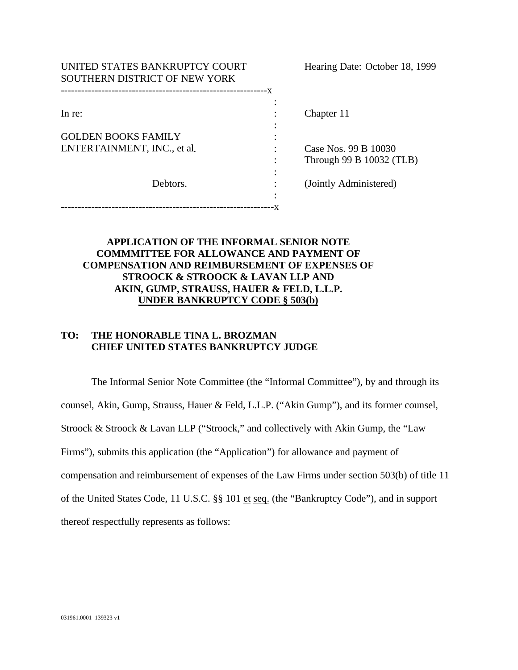| UNITED STATES BANKRUPTCY COURT<br>SOUTHERN DISTRICT OF NEW YORK |   | Hearing Date: October 18, 1999                   |
|-----------------------------------------------------------------|---|--------------------------------------------------|
|                                                                 |   |                                                  |
| In re:                                                          |   | Chapter 11                                       |
| <b>GOLDEN BOOKS FAMILY</b><br>ENTERTAINMENT, INC., et al.       |   | Case Nos. 99 B 10030<br>Through 99 B 10032 (TLB) |
| Debtors.                                                        | ٠ | (Jointly Administered)                           |
|                                                                 |   |                                                  |

## **APPLICATION OF THE INFORMAL SENIOR NOTE COMMMITTEE FOR ALLOWANCE AND PAYMENT OF COMPENSATION AND REIMBURSEMENT OF EXPENSES OF STROOCK & STROOCK & LAVAN LLP AND AKIN, GUMP, STRAUSS, HAUER & FELD, L.L.P. UNDER BANKRUPTCY CODE § 503(b)**

## **TO: THE HONORABLE TINA L. BROZMAN CHIEF UNITED STATES BANKRUPTCY JUDGE**

The Informal Senior Note Committee (the "Informal Committee"), by and through its counsel, Akin, Gump, Strauss, Hauer & Feld, L.L.P. ("Akin Gump"), and its former counsel, Stroock & Stroock & Lavan LLP ("Stroock," and collectively with Akin Gump, the "Law Firms"), submits this application (the "Application") for allowance and payment of compensation and reimbursement of expenses of the Law Firms under section 503(b) of title 11 of the United States Code, 11 U.S.C. §§ 101 et seq. (the "Bankruptcy Code"), and in support thereof respectfully represents as follows: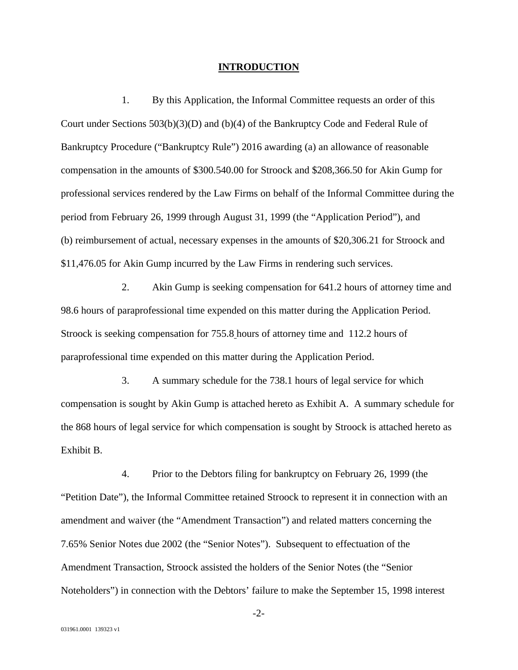#### **INTRODUCTION**

1. By this Application, the Informal Committee requests an order of this Court under Sections 503(b)(3)(D) and (b)(4) of the Bankruptcy Code and Federal Rule of Bankruptcy Procedure ("Bankruptcy Rule") 2016 awarding (a) an allowance of reasonable compensation in the amounts of \$300.540.00 for Stroock and \$208,366.50 for Akin Gump for professional services rendered by the Law Firms on behalf of the Informal Committee during the period from February 26, 1999 through August 31, 1999 (the "Application Period"), and (b) reimbursement of actual, necessary expenses in the amounts of \$20,306.21 for Stroock and \$11,476.05 for Akin Gump incurred by the Law Firms in rendering such services.

2. Akin Gump is seeking compensation for 641.2 hours of attorney time and 98.6 hours of paraprofessional time expended on this matter during the Application Period. Stroock is seeking compensation for 755.8 hours of attorney time and 112.2 hours of paraprofessional time expended on this matter during the Application Period.

3. A summary schedule for the 738.1 hours of legal service for which compensation is sought by Akin Gump is attached hereto as Exhibit A. A summary schedule for the 868 hours of legal service for which compensation is sought by Stroock is attached hereto as Exhibit B.

4. Prior to the Debtors filing for bankruptcy on February 26, 1999 (the "Petition Date"), the Informal Committee retained Stroock to represent it in connection with an amendment and waiver (the "Amendment Transaction") and related matters concerning the 7.65% Senior Notes due 2002 (the "Senior Notes"). Subsequent to effectuation of the Amendment Transaction, Stroock assisted the holders of the Senior Notes (the "Senior Noteholders") in connection with the Debtors' failure to make the September 15, 1998 interest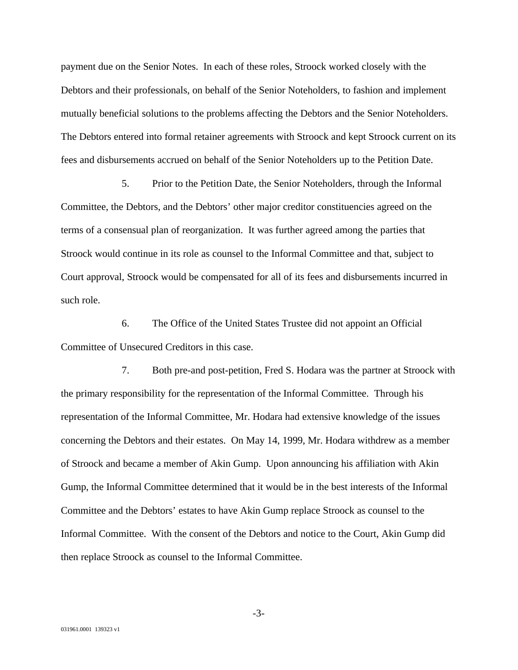payment due on the Senior Notes. In each of these roles, Stroock worked closely with the Debtors and their professionals, on behalf of the Senior Noteholders, to fashion and implement mutually beneficial solutions to the problems affecting the Debtors and the Senior Noteholders. The Debtors entered into formal retainer agreements with Stroock and kept Stroock current on its fees and disbursements accrued on behalf of the Senior Noteholders up to the Petition Date.

5. Prior to the Petition Date, the Senior Noteholders, through the Informal Committee, the Debtors, and the Debtors' other major creditor constituencies agreed on the terms of a consensual plan of reorganization. It was further agreed among the parties that Stroock would continue in its role as counsel to the Informal Committee and that, subject to Court approval, Stroock would be compensated for all of its fees and disbursements incurred in such role.

6. The Office of the United States Trustee did not appoint an Official Committee of Unsecured Creditors in this case.

7. Both pre-and post-petition, Fred S. Hodara was the partner at Stroock with the primary responsibility for the representation of the Informal Committee. Through his representation of the Informal Committee, Mr. Hodara had extensive knowledge of the issues concerning the Debtors and their estates. On May 14, 1999, Mr. Hodara withdrew as a member of Stroock and became a member of Akin Gump. Upon announcing his affiliation with Akin Gump, the Informal Committee determined that it would be in the best interests of the Informal Committee and the Debtors' estates to have Akin Gump replace Stroock as counsel to the Informal Committee. With the consent of the Debtors and notice to the Court, Akin Gump did then replace Stroock as counsel to the Informal Committee.

-3-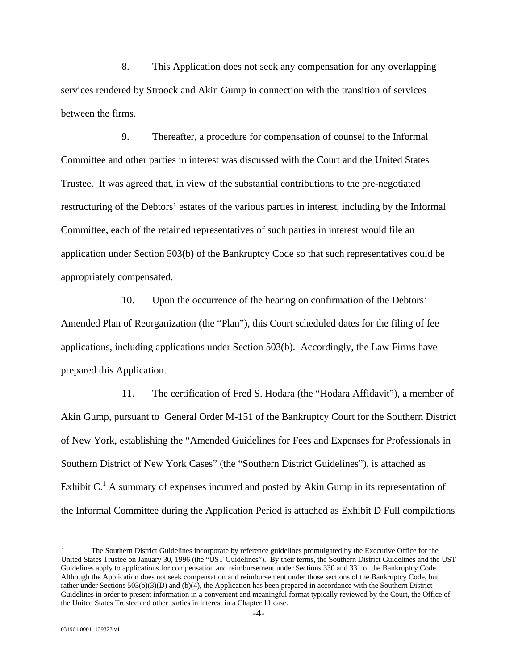8. This Application does not seek any compensation for any overlapping services rendered by Stroock and Akin Gump in connection with the transition of services between the firms.

9. Thereafter, a procedure for compensation of counsel to the Informal Committee and other parties in interest was discussed with the Court and the United States Trustee. It was agreed that, in view of the substantial contributions to the pre-negotiated restructuring of the Debtors' estates of the various parties in interest, including by the Informal Committee, each of the retained representatives of such parties in interest would file an application under Section 503(b) of the Bankruptcy Code so that such representatives could be appropriately compensated.

10. Upon the occurrence of the hearing on confirmation of the Debtors' Amended Plan of Reorganization (the "Plan"), this Court scheduled dates for the filing of fee applications, including applications under Section 503(b). Accordingly, the Law Firms have prepared this Application.

11. The certification of Fred S. Hodara (the "Hodara Affidavit"), a member of Akin Gump, pursuant to General Order M-151 of the Bankruptcy Court for the Southern District of New York, establishing the "Amended Guidelines for Fees and Expenses for Professionals in Southern District of New York Cases" (the "Southern District Guidelines"), is attached as Exhibit  $C<sup>1</sup>$  A summary of expenses incurred and posted by Akin Gump in its representation of the Informal Committee during the Application Period is attached as Exhibit D Full compilations

<u>.</u>

<sup>1</sup> The Southern District Guidelines incorporate by reference guidelines promulgated by the Executive Office for the United States Trustee on January 30, 1996 (the "UST Guidelines"). By their terms, the Southern District Guidelines and the UST Guidelines apply to applications for compensation and reimbursement under Sections 330 and 331 of the Bankruptcy Code. Although the Application does not seek compensation and reimbursement under those sections of the Bankruptcy Code, but rather under Sections 503(b)(3)(D) and (b)(4), the Application has been prepared in accordance with the Southern District Guidelines in order to present information in a convenient and meaningful format typically reviewed by the Court, the Office of the United States Trustee and other parties in interest in a Chapter 11 case.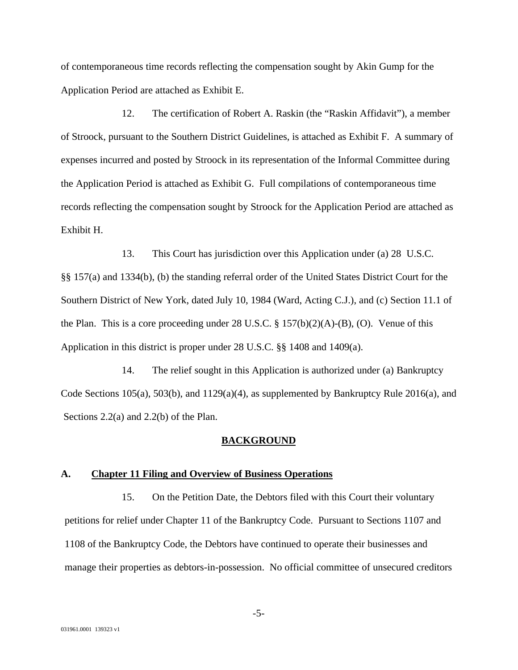of contemporaneous time records reflecting the compensation sought by Akin Gump for the Application Period are attached as Exhibit E.

12. The certification of Robert A. Raskin (the "Raskin Affidavit"), a member of Stroock, pursuant to the Southern District Guidelines, is attached as Exhibit F. A summary of expenses incurred and posted by Stroock in its representation of the Informal Committee during the Application Period is attached as Exhibit G. Full compilations of contemporaneous time records reflecting the compensation sought by Stroock for the Application Period are attached as Exhibit H.

13. This Court has jurisdiction over this Application under (a) 28 U.S.C. §§ 157(a) and 1334(b), (b) the standing referral order of the United States District Court for the Southern District of New York, dated July 10, 1984 (Ward, Acting C.J.), and (c) Section 11.1 of the Plan. This is a core proceeding under  $28 \text{ U.S.C.} \$ §  $157(b)(2)(A)$ -(B), (O). Venue of this Application in this district is proper under 28 U.S.C. §§ 1408 and 1409(a).

14. The relief sought in this Application is authorized under (a) Bankruptcy Code Sections 105(a), 503(b), and 1129(a)(4), as supplemented by Bankruptcy Rule 2016(a), and Sections 2.2(a) and 2.2(b) of the Plan.

#### **BACKGROUND**

#### **A. Chapter 11 Filing and Overview of Business Operations**

15. On the Petition Date, the Debtors filed with this Court their voluntary petitions for relief under Chapter 11 of the Bankruptcy Code. Pursuant to Sections 1107 and 1108 of the Bankruptcy Code, the Debtors have continued to operate their businesses and manage their properties as debtors-in-possession. No official committee of unsecured creditors

-5-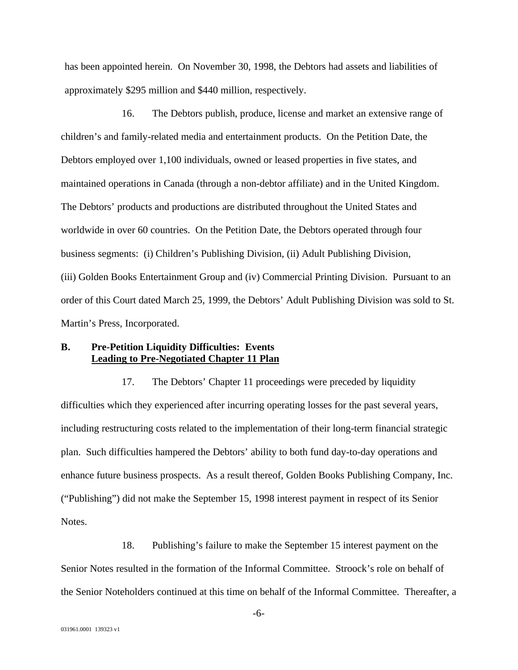has been appointed herein. On November 30, 1998, the Debtors had assets and liabilities of approximately \$295 million and \$440 million, respectively.

16. The Debtors publish, produce, license and market an extensive range of children's and family-related media and entertainment products. On the Petition Date, the Debtors employed over 1,100 individuals, owned or leased properties in five states, and maintained operations in Canada (through a non-debtor affiliate) and in the United Kingdom. The Debtors' products and productions are distributed throughout the United States and worldwide in over 60 countries. On the Petition Date, the Debtors operated through four business segments: (i) Children's Publishing Division, (ii) Adult Publishing Division, (iii) Golden Books Entertainment Group and (iv) Commercial Printing Division. Pursuant to an order of this Court dated March 25, 1999, the Debtors' Adult Publishing Division was sold to St. Martin's Press, Incorporated.

#### **B. Pre-Petition Liquidity Difficulties: Events Leading to Pre-Negotiated Chapter 11 Plan**

17. The Debtors' Chapter 11 proceedings were preceded by liquidity difficulties which they experienced after incurring operating losses for the past several years, including restructuring costs related to the implementation of their long-term financial strategic plan. Such difficulties hampered the Debtors' ability to both fund day-to-day operations and enhance future business prospects. As a result thereof, Golden Books Publishing Company, Inc. ("Publishing") did not make the September 15, 1998 interest payment in respect of its Senior Notes.

18. Publishing's failure to make the September 15 interest payment on the Senior Notes resulted in the formation of the Informal Committee. Stroock's role on behalf of the Senior Noteholders continued at this time on behalf of the Informal Committee. Thereafter, a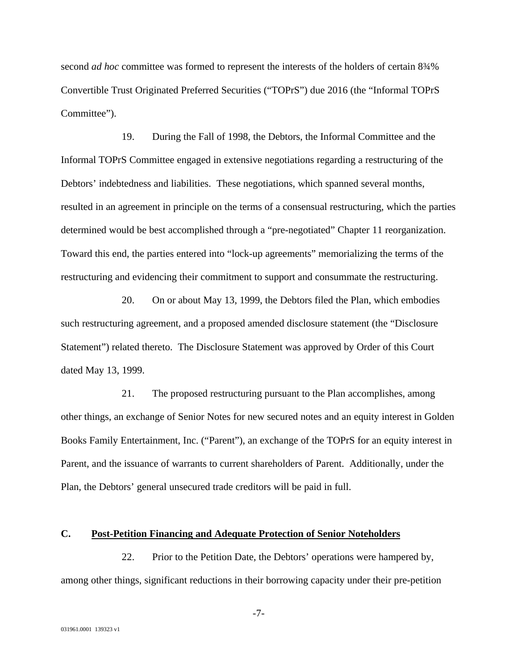second *ad hoc* committee was formed to represent the interests of the holders of certain 8¾% Convertible Trust Originated Preferred Securities ("TOPrS") due 2016 (the "Informal TOPrS Committee").

19. During the Fall of 1998, the Debtors, the Informal Committee and the Informal TOPrS Committee engaged in extensive negotiations regarding a restructuring of the Debtors' indebtedness and liabilities. These negotiations, which spanned several months, resulted in an agreement in principle on the terms of a consensual restructuring, which the parties determined would be best accomplished through a "pre-negotiated" Chapter 11 reorganization. Toward this end, the parties entered into "lock-up agreements" memorializing the terms of the restructuring and evidencing their commitment to support and consummate the restructuring.

20. On or about May 13, 1999, the Debtors filed the Plan, which embodies such restructuring agreement, and a proposed amended disclosure statement (the "Disclosure Statement") related thereto. The Disclosure Statement was approved by Order of this Court dated May 13, 1999.

21. The proposed restructuring pursuant to the Plan accomplishes, among other things, an exchange of Senior Notes for new secured notes and an equity interest in Golden Books Family Entertainment, Inc. ("Parent"), an exchange of the TOPrS for an equity interest in Parent, and the issuance of warrants to current shareholders of Parent. Additionally, under the Plan, the Debtors' general unsecured trade creditors will be paid in full.

#### **C. Post-Petition Financing and Adequate Protection of Senior Noteholders**

22. Prior to the Petition Date, the Debtors' operations were hampered by, among other things, significant reductions in their borrowing capacity under their pre-petition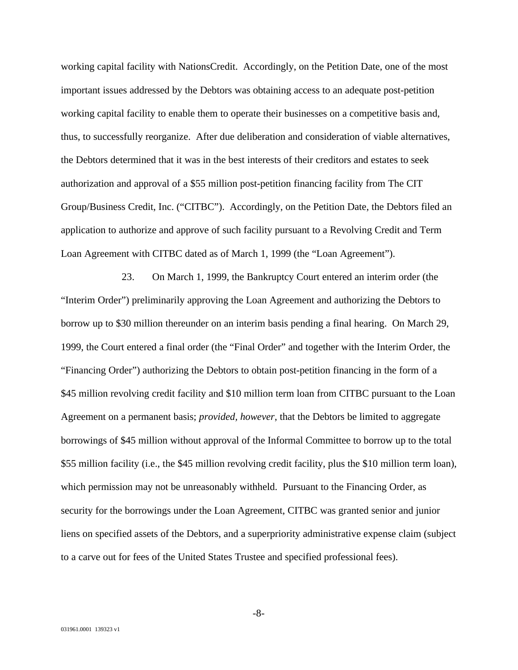working capital facility with NationsCredit. Accordingly, on the Petition Date, one of the most important issues addressed by the Debtors was obtaining access to an adequate post-petition working capital facility to enable them to operate their businesses on a competitive basis and, thus, to successfully reorganize. After due deliberation and consideration of viable alternatives, the Debtors determined that it was in the best interests of their creditors and estates to seek authorization and approval of a \$55 million post-petition financing facility from The CIT Group/Business Credit, Inc. ("CITBC"). Accordingly, on the Petition Date, the Debtors filed an application to authorize and approve of such facility pursuant to a Revolving Credit and Term Loan Agreement with CITBC dated as of March 1, 1999 (the "Loan Agreement").

23. On March 1, 1999, the Bankruptcy Court entered an interim order (the "Interim Order") preliminarily approving the Loan Agreement and authorizing the Debtors to borrow up to \$30 million thereunder on an interim basis pending a final hearing. On March 29, 1999, the Court entered a final order (the "Final Order" and together with the Interim Order, the "Financing Order") authorizing the Debtors to obtain post-petition financing in the form of a \$45 million revolving credit facility and \$10 million term loan from CITBC pursuant to the Loan Agreement on a permanent basis; *provided, however*, that the Debtors be limited to aggregate borrowings of \$45 million without approval of the Informal Committee to borrow up to the total \$55 million facility (i.e., the \$45 million revolving credit facility, plus the \$10 million term loan), which permission may not be unreasonably withheld. Pursuant to the Financing Order, as security for the borrowings under the Loan Agreement, CITBC was granted senior and junior liens on specified assets of the Debtors, and a superpriority administrative expense claim (subject to a carve out for fees of the United States Trustee and specified professional fees).

-8-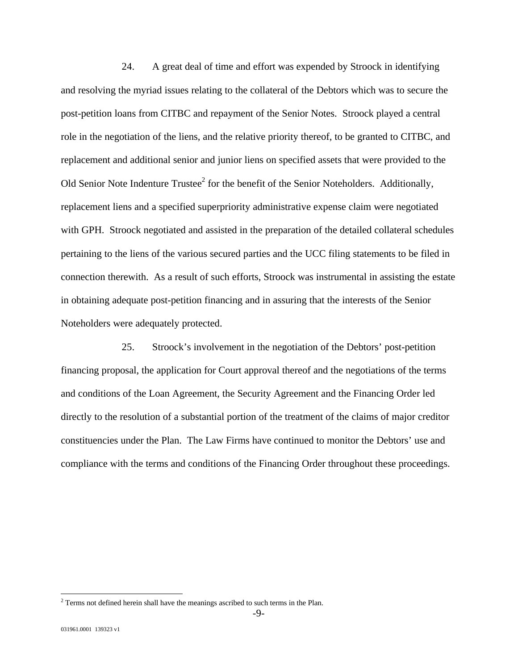24. A great deal of time and effort was expended by Stroock in identifying and resolving the myriad issues relating to the collateral of the Debtors which was to secure the post-petition loans from CITBC and repayment of the Senior Notes. Stroock played a central role in the negotiation of the liens, and the relative priority thereof, to be granted to CITBC, and replacement and additional senior and junior liens on specified assets that were provided to the Old Senior Note Indenture Trustee<sup>2</sup> for the benefit of the Senior Noteholders. Additionally, replacement liens and a specified superpriority administrative expense claim were negotiated with GPH. Stroock negotiated and assisted in the preparation of the detailed collateral schedules pertaining to the liens of the various secured parties and the UCC filing statements to be filed in connection therewith. As a result of such efforts, Stroock was instrumental in assisting the estate in obtaining adequate post-petition financing and in assuring that the interests of the Senior Noteholders were adequately protected.

25. Stroock's involvement in the negotiation of the Debtors' post-petition financing proposal, the application for Court approval thereof and the negotiations of the terms and conditions of the Loan Agreement, the Security Agreement and the Financing Order led directly to the resolution of a substantial portion of the treatment of the claims of major creditor constituencies under the Plan. The Law Firms have continued to monitor the Debtors' use and compliance with the terms and conditions of the Financing Order throughout these proceedings.

<u>.</u>

 $2$  Terms not defined herein shall have the meanings ascribed to such terms in the Plan.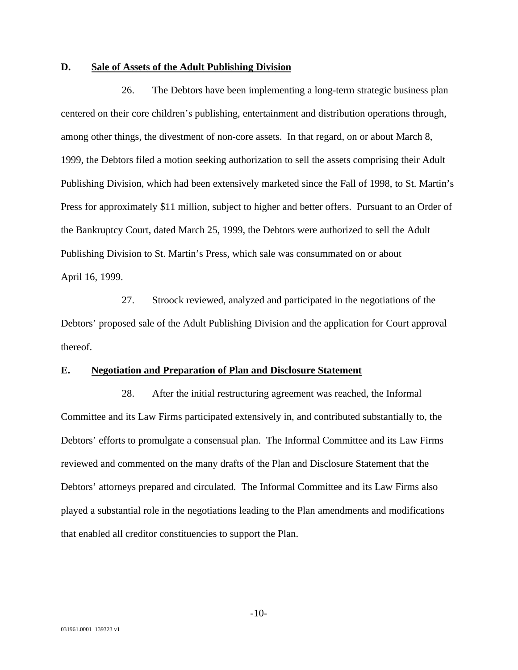#### **D. Sale of Assets of the Adult Publishing Division**

26. The Debtors have been implementing a long-term strategic business plan centered on their core children's publishing, entertainment and distribution operations through, among other things, the divestment of non-core assets. In that regard, on or about March 8, 1999, the Debtors filed a motion seeking authorization to sell the assets comprising their Adult Publishing Division, which had been extensively marketed since the Fall of 1998, to St. Martin's Press for approximately \$11 million, subject to higher and better offers. Pursuant to an Order of the Bankruptcy Court, dated March 25, 1999, the Debtors were authorized to sell the Adult Publishing Division to St. Martin's Press, which sale was consummated on or about April 16, 1999.

27. Stroock reviewed, analyzed and participated in the negotiations of the Debtors' proposed sale of the Adult Publishing Division and the application for Court approval thereof.

#### **E. Negotiation and Preparation of Plan and Disclosure Statement**

28. After the initial restructuring agreement was reached, the Informal Committee and its Law Firms participated extensively in, and contributed substantially to, the Debtors' efforts to promulgate a consensual plan. The Informal Committee and its Law Firms reviewed and commented on the many drafts of the Plan and Disclosure Statement that the Debtors' attorneys prepared and circulated. The Informal Committee and its Law Firms also played a substantial role in the negotiations leading to the Plan amendments and modifications that enabled all creditor constituencies to support the Plan.

-10-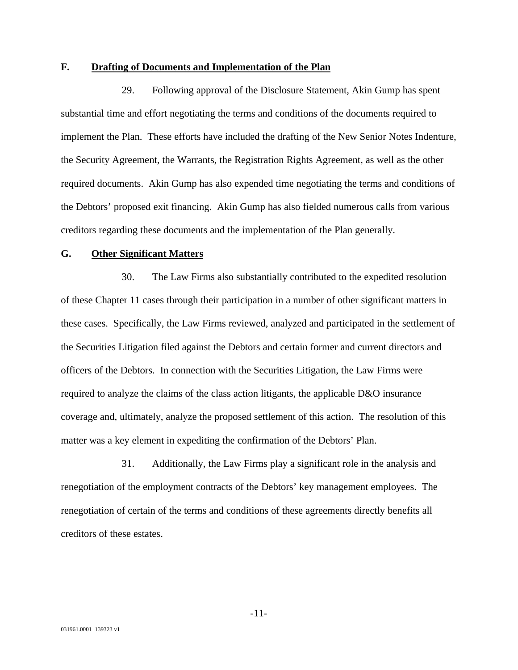#### **F. Drafting of Documents and Implementation of the Plan**

29. Following approval of the Disclosure Statement, Akin Gump has spent substantial time and effort negotiating the terms and conditions of the documents required to implement the Plan. These efforts have included the drafting of the New Senior Notes Indenture, the Security Agreement, the Warrants, the Registration Rights Agreement, as well as the other required documents. Akin Gump has also expended time negotiating the terms and conditions of the Debtors' proposed exit financing. Akin Gump has also fielded numerous calls from various creditors regarding these documents and the implementation of the Plan generally.

#### **G. Other Significant Matters**

30. The Law Firms also substantially contributed to the expedited resolution of these Chapter 11 cases through their participation in a number of other significant matters in these cases. Specifically, the Law Firms reviewed, analyzed and participated in the settlement of the Securities Litigation filed against the Debtors and certain former and current directors and officers of the Debtors. In connection with the Securities Litigation, the Law Firms were required to analyze the claims of the class action litigants, the applicable D&O insurance coverage and, ultimately, analyze the proposed settlement of this action. The resolution of this matter was a key element in expediting the confirmation of the Debtors' Plan.

31. Additionally, the Law Firms play a significant role in the analysis and renegotiation of the employment contracts of the Debtors' key management employees. The renegotiation of certain of the terms and conditions of these agreements directly benefits all creditors of these estates.

-11-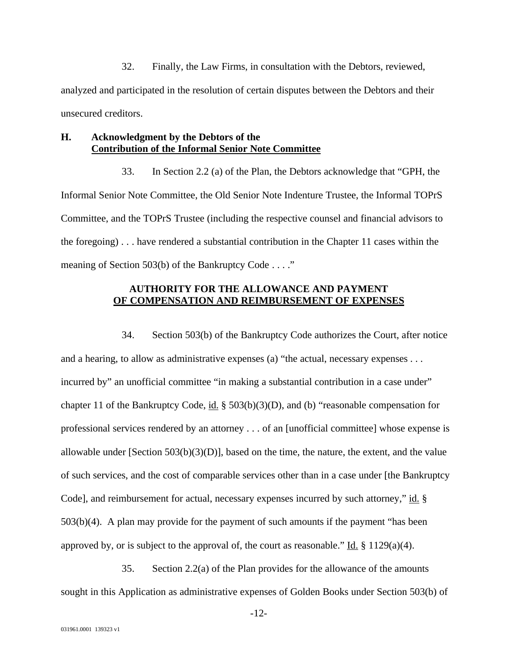32. Finally, the Law Firms, in consultation with the Debtors, reviewed, analyzed and participated in the resolution of certain disputes between the Debtors and their unsecured creditors.

#### **H. Acknowledgment by the Debtors of the Contribution of the Informal Senior Note Committee**

33. In Section 2.2 (a) of the Plan, the Debtors acknowledge that "GPH, the Informal Senior Note Committee, the Old Senior Note Indenture Trustee, the Informal TOPrS Committee, and the TOPrS Trustee (including the respective counsel and financial advisors to the foregoing) . . . have rendered a substantial contribution in the Chapter 11 cases within the meaning of Section 503(b) of the Bankruptcy Code . . . ."

## **AUTHORITY FOR THE ALLOWANCE AND PAYMENT OF COMPENSATION AND REIMBURSEMENT OF EXPENSES**

34. Section 503(b) of the Bankruptcy Code authorizes the Court, after notice and a hearing, to allow as administrative expenses (a) "the actual, necessary expenses . . . incurred by" an unofficial committee "in making a substantial contribution in a case under" chapter 11 of the Bankruptcy Code, id. § 503(b)(3)(D), and (b) "reasonable compensation for professional services rendered by an attorney . . . of an [unofficial committee] whose expense is allowable under [Section 503(b)(3)(D)], based on the time, the nature, the extent, and the value of such services, and the cost of comparable services other than in a case under [the Bankruptcy Code], and reimbursement for actual, necessary expenses incurred by such attorney," id. § 503(b)(4). A plan may provide for the payment of such amounts if the payment "has been approved by, or is subject to the approval of, the court as reasonable." Id.  $\S 1129(a)(4)$ .

35. Section 2.2(a) of the Plan provides for the allowance of the amounts sought in this Application as administrative expenses of Golden Books under Section 503(b) of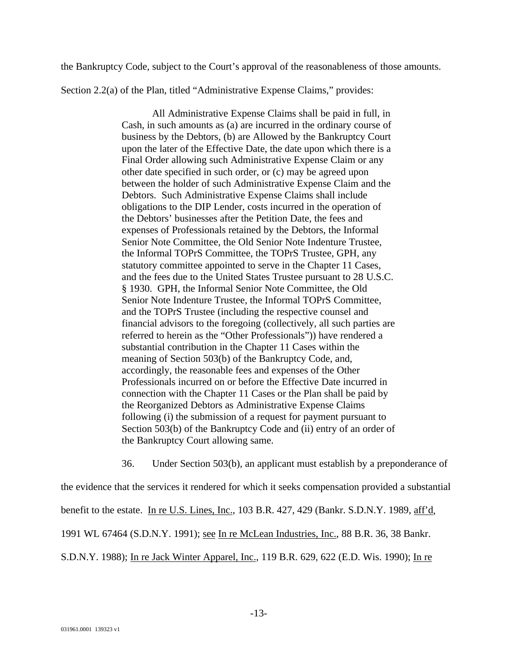the Bankruptcy Code, subject to the Court's approval of the reasonableness of those amounts.

Section 2.2(a) of the Plan, titled "Administrative Expense Claims," provides:

All Administrative Expense Claims shall be paid in full, in Cash, in such amounts as (a) are incurred in the ordinary course of business by the Debtors, (b) are Allowed by the Bankruptcy Court upon the later of the Effective Date, the date upon which there is a Final Order allowing such Administrative Expense Claim or any other date specified in such order, or (c) may be agreed upon between the holder of such Administrative Expense Claim and the Debtors. Such Administrative Expense Claims shall include obligations to the DIP Lender, costs incurred in the operation of the Debtors' businesses after the Petition Date, the fees and expenses of Professionals retained by the Debtors, the Informal Senior Note Committee, the Old Senior Note Indenture Trustee, the Informal TOPrS Committee, the TOPrS Trustee, GPH, any statutory committee appointed to serve in the Chapter 11 Cases, and the fees due to the United States Trustee pursuant to 28 U.S.C. § 1930. GPH, the Informal Senior Note Committee, the Old Senior Note Indenture Trustee, the Informal TOPrS Committee, and the TOPrS Trustee (including the respective counsel and financial advisors to the foregoing (collectively, all such parties are referred to herein as the "Other Professionals")) have rendered a substantial contribution in the Chapter 11 Cases within the meaning of Section 503(b) of the Bankruptcy Code, and, accordingly, the reasonable fees and expenses of the Other Professionals incurred on or before the Effective Date incurred in connection with the Chapter 11 Cases or the Plan shall be paid by the Reorganized Debtors as Administrative Expense Claims following (i) the submission of a request for payment pursuant to Section 503(b) of the Bankruptcy Code and (ii) entry of an order of the Bankruptcy Court allowing same.

36. Under Section 503(b), an applicant must establish by a preponderance of

the evidence that the services it rendered for which it seeks compensation provided a substantial

benefit to the estate. In re U.S. Lines, Inc., 103 B.R. 427, 429 (Bankr. S.D.N.Y. 1989, aff'd,

1991 WL 67464 (S.D.N.Y. 1991); see In re McLean Industries, Inc., 88 B.R. 36, 38 Bankr.

S.D.N.Y. 1988); In re Jack Winter Apparel, Inc., 119 B.R. 629, 622 (E.D. Wis. 1990); In re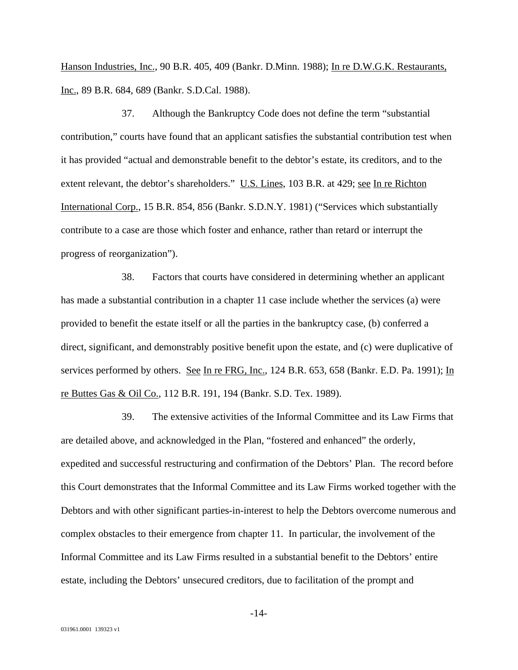Hanson Industries, Inc., 90 B.R. 405, 409 (Bankr. D.Minn. 1988); In re D.W.G.K. Restaurants, Inc., 89 B.R. 684, 689 (Bankr. S.D.Cal. 1988).

37. Although the Bankruptcy Code does not define the term "substantial contribution," courts have found that an applicant satisfies the substantial contribution test when it has provided "actual and demonstrable benefit to the debtor's estate, its creditors, and to the extent relevant, the debtor's shareholders." U.S. Lines, 103 B.R. at 429; see In re Richton International Corp., 15 B.R. 854, 856 (Bankr. S.D.N.Y. 1981) ("Services which substantially contribute to a case are those which foster and enhance, rather than retard or interrupt the progress of reorganization").

38. Factors that courts have considered in determining whether an applicant has made a substantial contribution in a chapter 11 case include whether the services (a) were provided to benefit the estate itself or all the parties in the bankruptcy case, (b) conferred a direct, significant, and demonstrably positive benefit upon the estate, and (c) were duplicative of services performed by others. See In re FRG, Inc., 124 B.R. 653, 658 (Bankr. E.D. Pa. 1991); In re Buttes Gas & Oil Co., 112 B.R. 191, 194 (Bankr. S.D. Tex. 1989).

39. The extensive activities of the Informal Committee and its Law Firms that are detailed above, and acknowledged in the Plan, "fostered and enhanced" the orderly, expedited and successful restructuring and confirmation of the Debtors' Plan. The record before this Court demonstrates that the Informal Committee and its Law Firms worked together with the Debtors and with other significant parties-in-interest to help the Debtors overcome numerous and complex obstacles to their emergence from chapter 11. In particular, the involvement of the Informal Committee and its Law Firms resulted in a substantial benefit to the Debtors' entire estate, including the Debtors' unsecured creditors, due to facilitation of the prompt and

-14-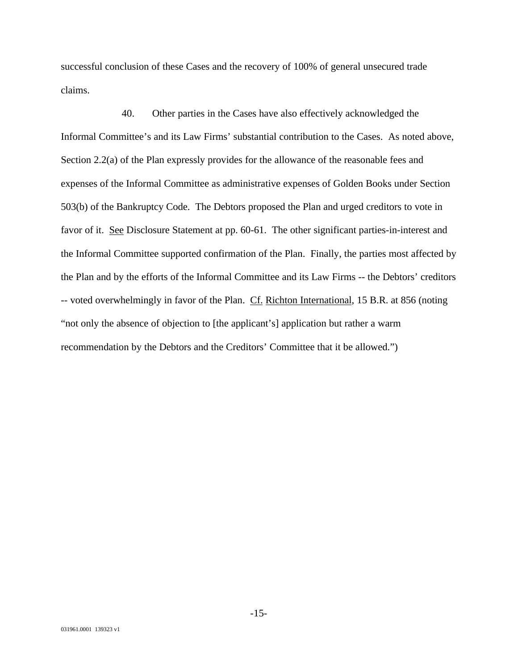successful conclusion of these Cases and the recovery of 100% of general unsecured trade claims.

40. Other parties in the Cases have also effectively acknowledged the Informal Committee's and its Law Firms' substantial contribution to the Cases. As noted above, Section 2.2(a) of the Plan expressly provides for the allowance of the reasonable fees and expenses of the Informal Committee as administrative expenses of Golden Books under Section 503(b) of the Bankruptcy Code. The Debtors proposed the Plan and urged creditors to vote in favor of it. See Disclosure Statement at pp. 60-61. The other significant parties-in-interest and the Informal Committee supported confirmation of the Plan. Finally, the parties most affected by the Plan and by the efforts of the Informal Committee and its Law Firms -- the Debtors' creditors -- voted overwhelmingly in favor of the Plan. Cf. Richton International, 15 B.R. at 856 (noting "not only the absence of objection to [the applicant's] application but rather a warm recommendation by the Debtors and the Creditors' Committee that it be allowed.")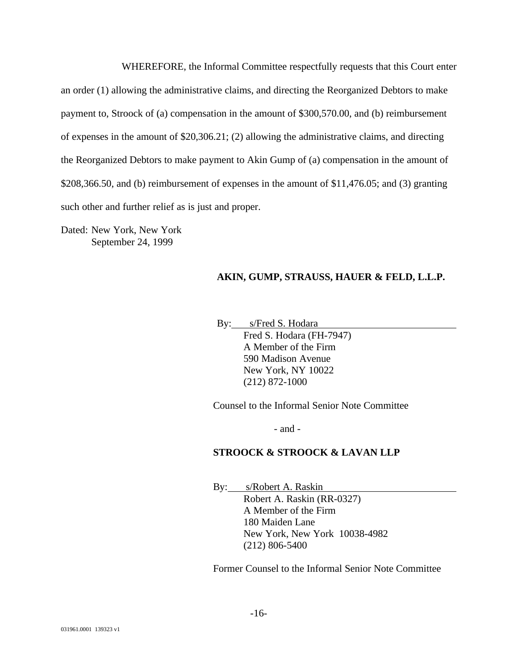WHEREFORE, the Informal Committee respectfully requests that this Court enter an order (1) allowing the administrative claims, and directing the Reorganized Debtors to make payment to, Stroock of (a) compensation in the amount of \$300,570.00, and (b) reimbursement of expenses in the amount of \$20,306.21; (2) allowing the administrative claims, and directing the Reorganized Debtors to make payment to Akin Gump of (a) compensation in the amount of \$208,366.50, and (b) reimbursement of expenses in the amount of \$11,476.05; and (3) granting such other and further relief as is just and proper.

Dated: New York, New York September 24, 1999

## **AKIN, GUMP, STRAUSS, HAUER & FELD, L.L.P.**

By: s/Fred S. Hodara

Fred S. Hodara (FH-7947) A Member of the Firm 590 Madison Avenue New York, NY 10022 (212) 872-1000

Counsel to the Informal Senior Note Committee

- and -

#### **STROOCK & STROOCK & LAVAN LLP**

By: s/Robert A. Raskin Robert A. Raskin (RR-0327) A Member of the Firm 180 Maiden Lane New York, New York 10038-4982 (212) 806-5400

Former Counsel to the Informal Senior Note Committee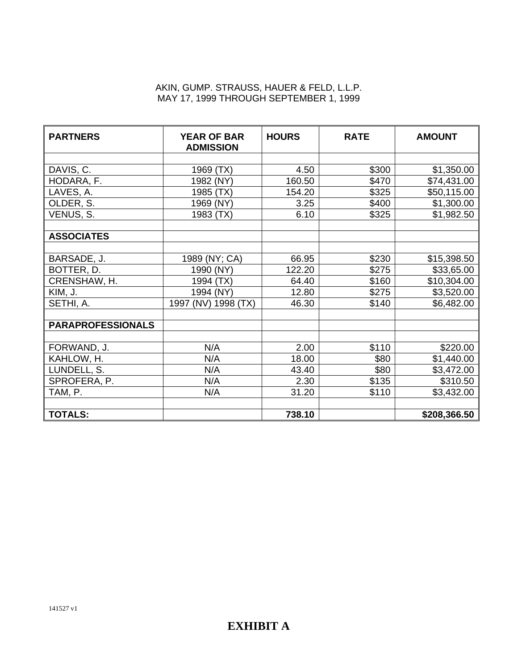#### AKIN, GUMP. STRAUSS, HAUER & FELD, L.L.P. MAY 17, 1999 THROUGH SEPTEMBER 1, 1999

| <b>PARTNERS</b>          | <b>YEAR OF BAR</b><br><b>ADMISSION</b> | <b>HOURS</b> | <b>RATE</b> | <b>AMOUNT</b> |
|--------------------------|----------------------------------------|--------------|-------------|---------------|
|                          |                                        |              |             |               |
| DAVIS, C.                | 1969 (TX)                              | 4.50         | \$300       | \$1,350.00    |
| HODARA, F.               | 1982 (NY)                              | 160.50       | \$470       | \$74,431.00   |
| LAVES, A.                | 1985 (TX)                              | 154.20       | \$325       | \$50,115.00   |
| OLDER, S.                | 1969 (NY)                              | 3.25         | \$400       | \$1,300.00    |
| VENUS, S.                | 1983 (TX)                              | 6.10         | \$325       | \$1,982.50    |
|                          |                                        |              |             |               |
| <b>ASSOCIATES</b>        |                                        |              |             |               |
|                          |                                        |              |             |               |
| BARSADE, J.              | 1989 (NY; CA)                          | 66.95        | \$230       | \$15,398.50   |
| BOTTER, D.               | 1990 (NY)                              | 122.20       | \$275       | \$33,65.00    |
| CRENSHAW, H.             | 1994 (TX)                              | 64.40        | \$160       | \$10,304.00   |
| KIM, J.                  | 1994 (NY)                              | 12.80        | \$275       | \$3,520.00    |
| SETHI, A.                | 1997 (NV) 1998 (TX)                    | 46.30        | \$140       | \$6,482.00    |
|                          |                                        |              |             |               |
| <b>PARAPROFESSIONALS</b> |                                        |              |             |               |
|                          |                                        |              |             |               |
| FORWAND, J.              | N/A                                    | 2.00         | \$110       | \$220.00      |
| KAHLOW, H.               | N/A                                    | 18.00        | \$80        | \$1,440.00    |
| LUNDELL, S.              | N/A                                    | 43.40        | \$80        | \$3,472.00    |
| SPROFERA, P.             | N/A                                    | 2.30         | \$135       | \$310.50      |
| TAM, P.                  | N/A                                    | 31.20        | \$110       | \$3,432.00    |
|                          |                                        |              |             |               |
| <b>TOTALS:</b>           |                                        | 738.10       |             | \$208,366.50  |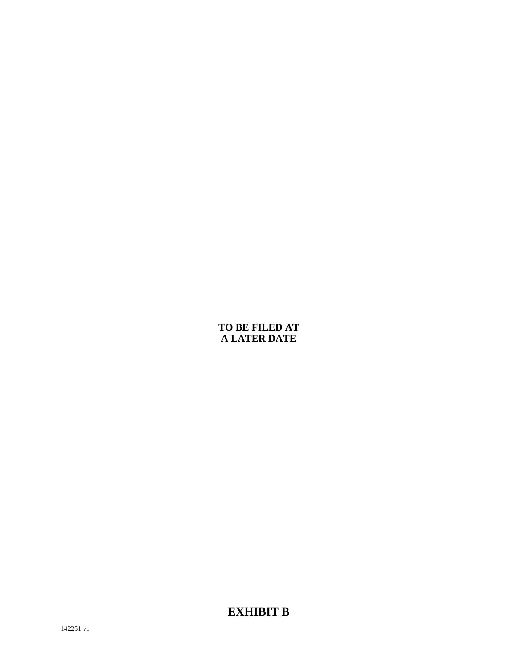## **TO BE FILED AT A LATER DATE**

**EXHIBIT B**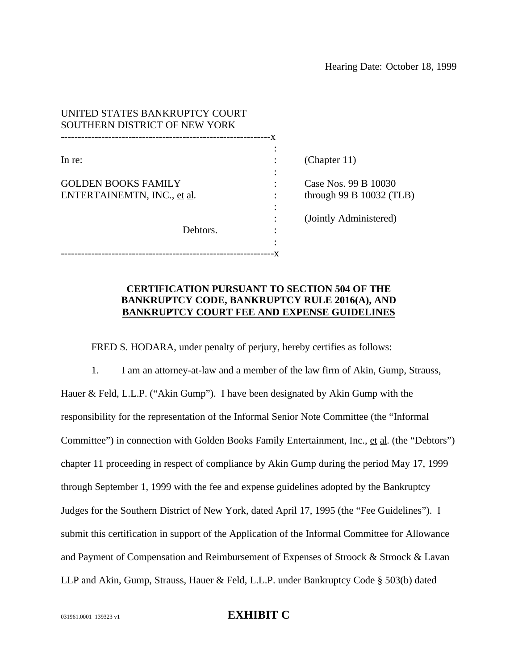| UNITED STATES BANKRUPTCY COURT<br>SOUTHERN DISTRICT OF NEW YORK |     |                            |
|-----------------------------------------------------------------|-----|----------------------------|
|                                                                 | – X |                            |
| In re:                                                          |     | (Chapter $11$ )            |
| <b>GOLDEN BOOKS FAMILY</b>                                      |     | Case Nos. 99 B 10030       |
| ENTERTAINEMTN, INC., et al.                                     |     | through 99 B $10032$ (TLB) |
|                                                                 |     | (Jointly Administered)     |
| Debtors.                                                        |     |                            |
|                                                                 |     |                            |

#### **CERTIFICATION PURSUANT TO SECTION 504 OF THE BANKRUPTCY CODE, BANKRUPTCY RULE 2016(A), AND BANKRUPTCY COURT FEE AND EXPENSE GUIDELINES**

FRED S. HODARA, under penalty of perjury, hereby certifies as follows:

1. I am an attorney-at-law and a member of the law firm of Akin, Gump, Strauss, Hauer & Feld, L.L.P. ("Akin Gump"). I have been designated by Akin Gump with the responsibility for the representation of the Informal Senior Note Committee (the "Informal Committee") in connection with Golden Books Family Entertainment, Inc., et al. (the "Debtors") chapter 11 proceeding in respect of compliance by Akin Gump during the period May 17, 1999 through September 1, 1999 with the fee and expense guidelines adopted by the Bankruptcy Judges for the Southern District of New York, dated April 17, 1995 (the "Fee Guidelines"). I submit this certification in support of the Application of the Informal Committee for Allowance and Payment of Compensation and Reimbursement of Expenses of Stroock & Stroock & Lavan LLP and Akin, Gump, Strauss, Hauer & Feld, L.L.P. under Bankruptcy Code § 503(b) dated

#### 031961.0001 139323 v1 **EXHIBIT C**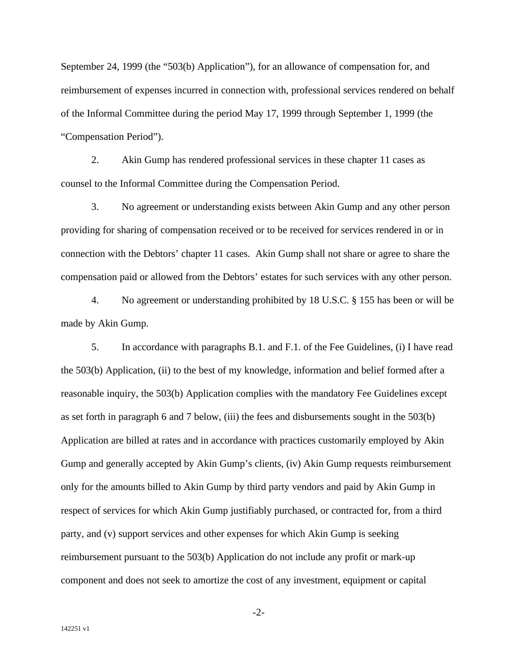September 24, 1999 (the "503(b) Application"), for an allowance of compensation for, and reimbursement of expenses incurred in connection with, professional services rendered on behalf of the Informal Committee during the period May 17, 1999 through September 1, 1999 (the "Compensation Period").

2. Akin Gump has rendered professional services in these chapter 11 cases as counsel to the Informal Committee during the Compensation Period.

3. No agreement or understanding exists between Akin Gump and any other person providing for sharing of compensation received or to be received for services rendered in or in connection with the Debtors' chapter 11 cases. Akin Gump shall not share or agree to share the compensation paid or allowed from the Debtors' estates for such services with any other person.

4. No agreement or understanding prohibited by 18 U.S.C. § 155 has been or will be made by Akin Gump.

5. In accordance with paragraphs B.1. and F.1. of the Fee Guidelines, (i) I have read the 503(b) Application, (ii) to the best of my knowledge, information and belief formed after a reasonable inquiry, the 503(b) Application complies with the mandatory Fee Guidelines except as set forth in paragraph 6 and 7 below, (iii) the fees and disbursements sought in the 503(b) Application are billed at rates and in accordance with practices customarily employed by Akin Gump and generally accepted by Akin Gump's clients, (iv) Akin Gump requests reimbursement only for the amounts billed to Akin Gump by third party vendors and paid by Akin Gump in respect of services for which Akin Gump justifiably purchased, or contracted for, from a third party, and (v) support services and other expenses for which Akin Gump is seeking reimbursement pursuant to the 503(b) Application do not include any profit or mark-up component and does not seek to amortize the cost of any investment, equipment or capital

-2-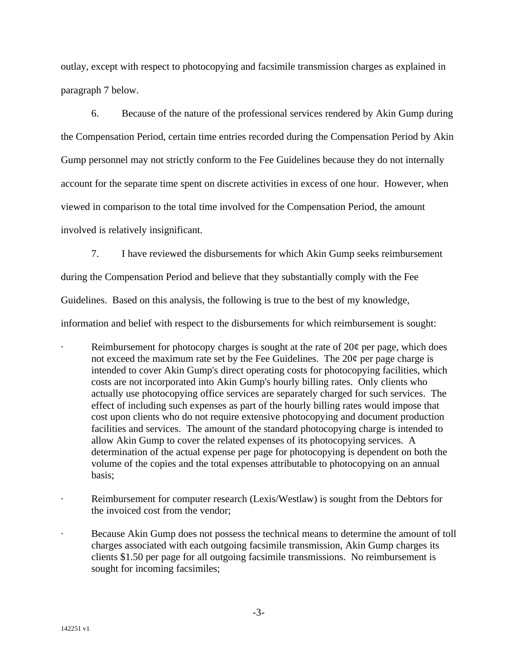outlay, except with respect to photocopying and facsimile transmission charges as explained in paragraph 7 below.

6. Because of the nature of the professional services rendered by Akin Gump during the Compensation Period, certain time entries recorded during the Compensation Period by Akin Gump personnel may not strictly conform to the Fee Guidelines because they do not internally account for the separate time spent on discrete activities in excess of one hour. However, when viewed in comparison to the total time involved for the Compensation Period, the amount involved is relatively insignificant.

7. I have reviewed the disbursements for which Akin Gump seeks reimbursement

during the Compensation Period and believe that they substantially comply with the Fee

Guidelines. Based on this analysis, the following is true to the best of my knowledge,

information and belief with respect to the disbursements for which reimbursement is sought:

- Reimbursement for photocopy charges is sought at the rate of  $20¢$  per page, which does not exceed the maximum rate set by the Fee Guidelines. The 20¢ per page charge is intended to cover Akin Gump's direct operating costs for photocopying facilities, which costs are not incorporated into Akin Gump's hourly billing rates. Only clients who actually use photocopying office services are separately charged for such services. The effect of including such expenses as part of the hourly billing rates would impose that cost upon clients who do not require extensive photocopying and document production facilities and services. The amount of the standard photocopying charge is intended to allow Akin Gump to cover the related expenses of its photocopying services. A determination of the actual expense per page for photocopying is dependent on both the volume of the copies and the total expenses attributable to photocopying on an annual basis;
- Reimbursement for computer research (Lexis/Westlaw) is sought from the Debtors for the invoiced cost from the vendor;
- · Because Akin Gump does not possess the technical means to determine the amount of toll charges associated with each outgoing facsimile transmission, Akin Gump charges its clients \$1.50 per page for all outgoing facsimile transmissions. No reimbursement is sought for incoming facsimiles;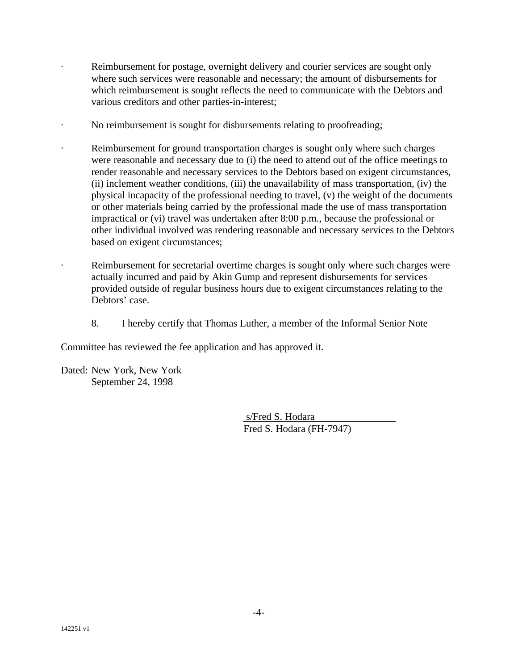- Reimbursement for postage, overnight delivery and courier services are sought only where such services were reasonable and necessary; the amount of disbursements for which reimbursement is sought reflects the need to communicate with the Debtors and various creditors and other parties-in-interest;
	- No reimbursement is sought for disbursements relating to proofreading;
	- Reimbursement for ground transportation charges is sought only where such charges were reasonable and necessary due to (i) the need to attend out of the office meetings to render reasonable and necessary services to the Debtors based on exigent circumstances, (ii) inclement weather conditions, (iii) the unavailability of mass transportation, (iv) the physical incapacity of the professional needing to travel, (v) the weight of the documents or other materials being carried by the professional made the use of mass transportation impractical or (vi) travel was undertaken after 8:00 p.m., because the professional or other individual involved was rendering reasonable and necessary services to the Debtors based on exigent circumstances;
		- Reimbursement for secretarial overtime charges is sought only where such charges were actually incurred and paid by Akin Gump and represent disbursements for services provided outside of regular business hours due to exigent circumstances relating to the Debtors' case.
		- 8. I hereby certify that Thomas Luther, a member of the Informal Senior Note

Committee has reviewed the fee application and has approved it.

Dated: New York, New York September 24, 1998

> s/Fred S. Hodara Fred S. Hodara (FH-7947)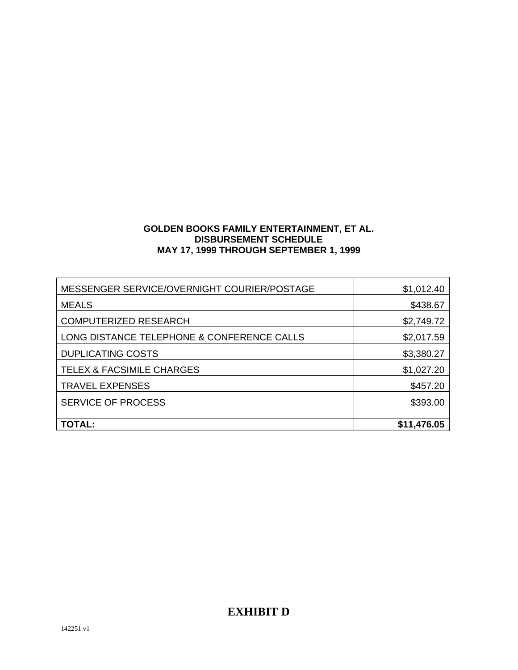## **GOLDEN BOOKS FAMILY ENTERTAINMENT, ET AL. DISBURSEMENT SCHEDULE MAY 17, 1999 THROUGH SEPTEMBER 1, 1999**

| <b>TOTAL:</b>                               | \$11,476.05 |
|---------------------------------------------|-------------|
|                                             |             |
| <b>SERVICE OF PROCESS</b>                   | \$393.00    |
| <b>TRAVEL EXPENSES</b>                      | \$457.20    |
| <b>TELEX &amp; FACSIMILE CHARGES</b>        | \$1,027.20  |
|                                             |             |
| <b>DUPLICATING COSTS</b>                    | \$3,380.27  |
| LONG DISTANCE TELEPHONE & CONFERENCE CALLS  | \$2,017.59  |
| <b>COMPUTERIZED RESEARCH</b>                | \$2,749.72  |
| <b>MEALS</b>                                | \$438.67    |
|                                             |             |
| MESSENGER SERVICE/OVERNIGHT COURIER/POSTAGE | \$1,012.40  |

# **EXHIBIT D**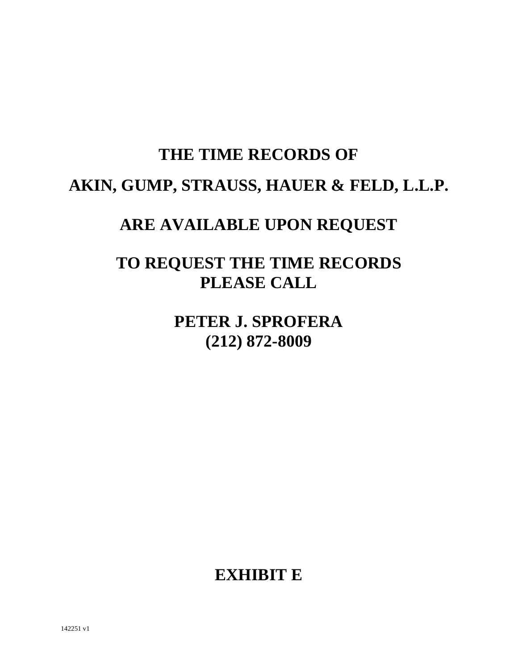# **THE TIME RECORDS OF AKIN, GUMP, STRAUSS, HAUER & FELD, L.L.P.**

# **ARE AVAILABLE UPON REQUEST**

# **TO REQUEST THE TIME RECORDS PLEASE CALL**

# **PETER J. SPROFERA (212) 872-8009**

# **EXHIBIT E**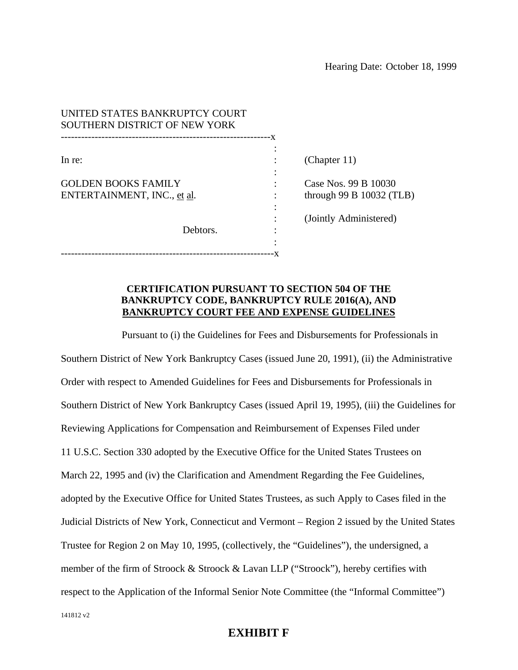| UNITED STATES BANKRUPTCY COURT<br>SOUTHERN DISTRICT OF NEW YORK |     |                            |
|-----------------------------------------------------------------|-----|----------------------------|
| In re:                                                          | – X | (Chapter $11$ )            |
|                                                                 |     |                            |
| <b>GOLDEN BOOKS FAMILY</b>                                      |     | Case Nos. 99 B 10030       |
| ENTERTAINMENT, INC., et al.                                     |     | through 99 B $10032$ (TLB) |
|                                                                 |     |                            |
|                                                                 |     | (Jointly Administered)     |
| Debtors.                                                        |     |                            |
|                                                                 |     |                            |
|                                                                 |     |                            |

#### **CERTIFICATION PURSUANT TO SECTION 504 OF THE BANKRUPTCY CODE, BANKRUPTCY RULE 2016(A), AND BANKRUPTCY COURT FEE AND EXPENSE GUIDELINES**

141812 v2 Pursuant to (i) the Guidelines for Fees and Disbursements for Professionals in Southern District of New York Bankruptcy Cases (issued June 20, 1991), (ii) the Administrative Order with respect to Amended Guidelines for Fees and Disbursements for Professionals in Southern District of New York Bankruptcy Cases (issued April 19, 1995), (iii) the Guidelines for Reviewing Applications for Compensation and Reimbursement of Expenses Filed under 11 U.S.C. Section 330 adopted by the Executive Office for the United States Trustees on March 22, 1995 and (iv) the Clarification and Amendment Regarding the Fee Guidelines, adopted by the Executive Office for United States Trustees, as such Apply to Cases filed in the Judicial Districts of New York, Connecticut and Vermont – Region 2 issued by the United States Trustee for Region 2 on May 10, 1995, (collectively, the "Guidelines"), the undersigned, a member of the firm of Stroock & Stroock & Lavan LLP ("Stroock"), hereby certifies with respect to the Application of the Informal Senior Note Committee (the "Informal Committee")

## **EXHIBIT F**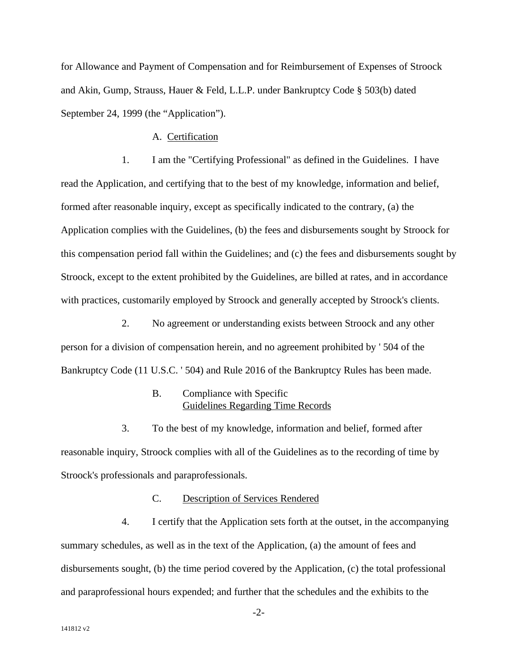for Allowance and Payment of Compensation and for Reimbursement of Expenses of Stroock and Akin, Gump, Strauss, Hauer & Feld, L.L.P. under Bankruptcy Code § 503(b) dated September 24, 1999 (the "Application").

#### A. Certification

1. I am the "Certifying Professional" as defined in the Guidelines. I have read the Application, and certifying that to the best of my knowledge, information and belief, formed after reasonable inquiry, except as specifically indicated to the contrary, (a) the Application complies with the Guidelines, (b) the fees and disbursements sought by Stroock for this compensation period fall within the Guidelines; and (c) the fees and disbursements sought by Stroock, except to the extent prohibited by the Guidelines, are billed at rates, and in accordance with practices, customarily employed by Stroock and generally accepted by Stroock's clients.

2. No agreement or understanding exists between Stroock and any other person for a division of compensation herein, and no agreement prohibited by ' 504 of the Bankruptcy Code (11 U.S.C. ' 504) and Rule 2016 of the Bankruptcy Rules has been made.

#### B. Compliance with Specific Guidelines Regarding Time Records

3. To the best of my knowledge, information and belief, formed after reasonable inquiry, Stroock complies with all of the Guidelines as to the recording of time by Stroock's professionals and paraprofessionals.

#### C. Description of Services Rendered

4. I certify that the Application sets forth at the outset, in the accompanying summary schedules, as well as in the text of the Application, (a) the amount of fees and disbursements sought, (b) the time period covered by the Application, (c) the total professional and paraprofessional hours expended; and further that the schedules and the exhibits to the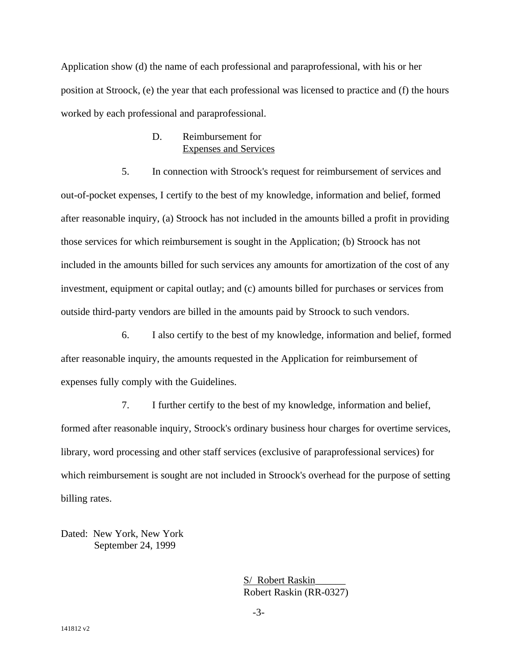Application show (d) the name of each professional and paraprofessional, with his or her position at Stroock, (e) the year that each professional was licensed to practice and (f) the hours worked by each professional and paraprofessional.

#### D. Reimbursement for Expenses and Services

5. In connection with Stroock's request for reimbursement of services and out-of-pocket expenses, I certify to the best of my knowledge, information and belief, formed after reasonable inquiry, (a) Stroock has not included in the amounts billed a profit in providing those services for which reimbursement is sought in the Application; (b) Stroock has not included in the amounts billed for such services any amounts for amortization of the cost of any investment, equipment or capital outlay; and (c) amounts billed for purchases or services from outside third-party vendors are billed in the amounts paid by Stroock to such vendors.

6. I also certify to the best of my knowledge, information and belief, formed after reasonable inquiry, the amounts requested in the Application for reimbursement of expenses fully comply with the Guidelines.

7. I further certify to the best of my knowledge, information and belief, formed after reasonable inquiry, Stroock's ordinary business hour charges for overtime services, library, word processing and other staff services (exclusive of paraprofessional services) for which reimbursement is sought are not included in Stroock's overhead for the purpose of setting billing rates.

Dated: New York, New York September 24, 1999

> S/ Robert Raskin Robert Raskin (RR-0327)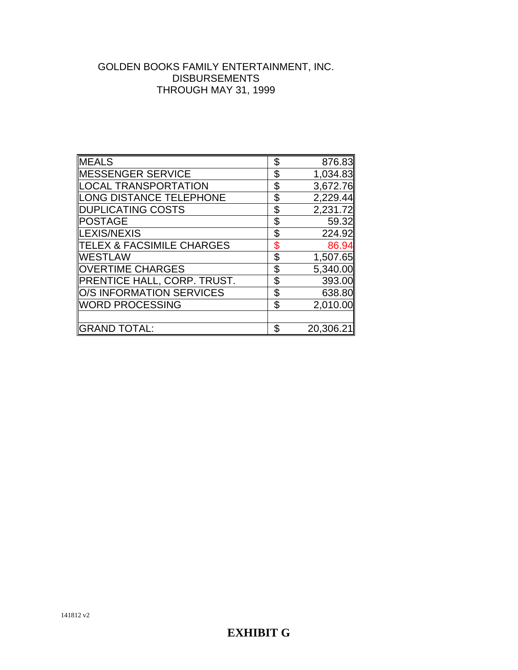## GOLDEN BOOKS FAMILY ENTERTAINMENT, INC. DISBURSEMENTS THROUGH MAY 31, 1999

| <b>MEALS</b>                    | \$<br>876.83    |
|---------------------------------|-----------------|
| MESSENGER SERVICE               | \$<br>1,034.83  |
| LOCAL TRANSPORTATION            | \$<br>3,672.76  |
| LONG DISTANCE TELEPHONE         | \$<br>2,229.44  |
| DUPLICATING COSTS               | \$<br>2,231.72  |
| <b>POSTAGE</b>                  | \$<br>59.32     |
| LEXIS/NEXIS                     | \$<br>224.92    |
| TELEX & FACSIMILE CHARGES       | \$<br>86.94     |
| IWESTLAW                        | \$<br>1,507.65  |
| <b>OVERTIME CHARGES</b>         | \$<br>5,340.00  |
| PRENTICE HALL, CORP. TRUST.     | \$<br>393.00    |
| <b>O/S INFORMATION SERVICES</b> | \$<br>638.80    |
| WORD PROCESSING                 | \$<br>2,010.00  |
|                                 |                 |
| <b>GRAND TOTAL:</b>             | \$<br>20,306.21 |